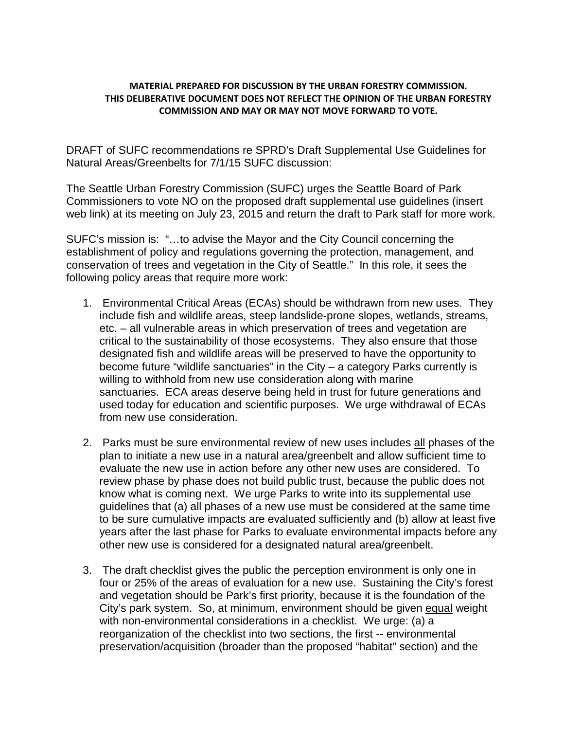## **MATERIAL PREPARED FOR DISCUSSION BY THE URBAN FORESTRY COMMISSION. THIS DELIBERATIVE DOCUMENT DOES NOT REFLECT THE OPINION OF THE URBAN FORESTRY COMMISSION AND MAY OR MAY NOT MOVE FORWARD TO VOTE.**

DRAFT of SUFC recommendations re SPRD's Draft Supplemental Use Guidelines for Natural Areas/Greenbelts for 7/1/15 SUFC discussion:

The Seattle Urban Forestry Commission (SUFC) urges the Seattle Board of Park Commissioners to vote NO on the proposed draft supplemental use guidelines (insert web link) at its meeting on July 23, 2015 and return the draft to Park staff for more work.

SUFC's mission is: "…to advise the Mayor and the City Council concerning the establishment of policy and regulations governing the protection, management, and conservation of trees and vegetation in the City of Seattle." In this role, it sees the following policy areas that require more work:

- 1. Environmental Critical Areas (ECAs) should be withdrawn from new uses. They include fish and wildlife areas, steep landslide-prone slopes, wetlands, streams, etc. – all vulnerable areas in which preservation of trees and vegetation are critical to the sustainability of those ecosystems. They also ensure that those designated fish and wildlife areas will be preserved to have the opportunity to become future "wildlife sanctuaries" in the City – a category Parks currently is willing to withhold from new use consideration along with marine sanctuaries. ECA areas deserve being held in trust for future generations and used today for education and scientific purposes. We urge withdrawal of ECAs from new use consideration.
- 2. Parks must be sure environmental review of new uses includes all phases of the plan to initiate a new use in a natural area/greenbelt and allow sufficient time to evaluate the new use in action before any other new uses are considered. To review phase by phase does not build public trust, because the public does not know what is coming next. We urge Parks to write into its supplemental use guidelines that (a) all phases of a new use must be considered at the same time to be sure cumulative impacts are evaluated sufficiently and (b) allow at least five years after the last phase for Parks to evaluate environmental impacts before any other new use is considered for a designated natural area/greenbelt.
- 3. The draft checklist gives the public the perception environment is only one in four or 25% of the areas of evaluation for a new use. Sustaining the City's forest and vegetation should be Park's first priority, because it is the foundation of the City's park system. So, at minimum, environment should be given equal weight with non-environmental considerations in a checklist. We urge: (a) a reorganization of the checklist into two sections, the first -- environmental preservation/acquisition (broader than the proposed "habitat" section) and the